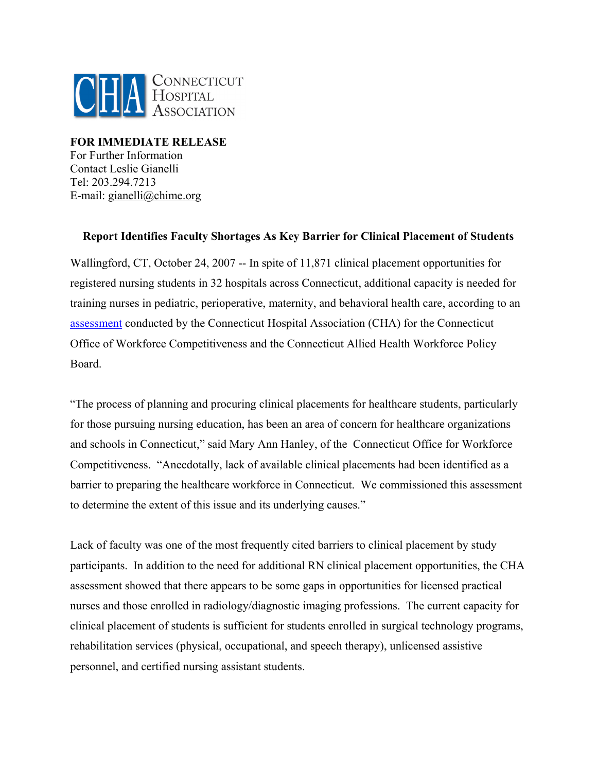

**FOR IMMEDIATE RELEASE**  For Further Information Contact Leslie Gianelli Tel: 203.294.7213 E-mail: gianelli@chime.org

## **Report Identifies Faculty Shortages As Key Barrier for Clinical Placement of Students**

Wallingford, CT, October 24, 2007 -- In spite of 11,871 clinical placement opportunities for registered nursing students in 32 hospitals across Connecticut, additional capacity is needed for training nurses in pediatric, perioperative, maternity, and behavioral health care, according to an [assessment](http://www.cthosp.org/10/ClinicalPlacementCapacityReport_8-07.pdf) conducted by the Connecticut Hospital Association (CHA) for the Connecticut Office of Workforce Competitiveness and the Connecticut Allied Health Workforce Policy Board.

"The process of planning and procuring clinical placements for healthcare students, particularly for those pursuing nursing education, has been an area of concern for healthcare organizations and schools in Connecticut," said Mary Ann Hanley, of the Connecticut Office for Workforce Competitiveness. "Anecdotally, lack of available clinical placements had been identified as a barrier to preparing the healthcare workforce in Connecticut. We commissioned this assessment to determine the extent of this issue and its underlying causes."

Lack of faculty was one of the most frequently cited barriers to clinical placement by study participants. In addition to the need for additional RN clinical placement opportunities, the CHA assessment showed that there appears to be some gaps in opportunities for licensed practical nurses and those enrolled in radiology/diagnostic imaging professions. The current capacity for clinical placement of students is sufficient for students enrolled in surgical technology programs, rehabilitation services (physical, occupational, and speech therapy), unlicensed assistive personnel, and certified nursing assistant students.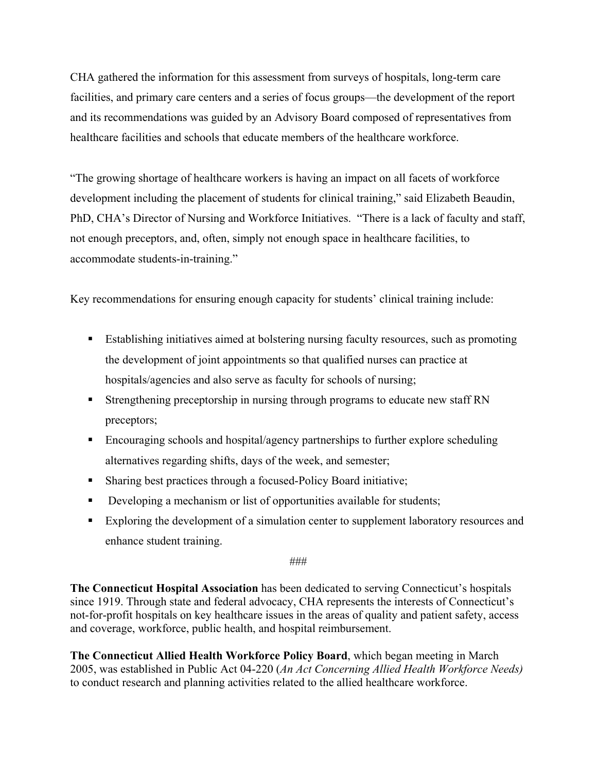CHA gathered the information for this assessment from surveys of hospitals, long-term care facilities, and primary care centers and a series of focus groups—the development of the report and its recommendations was guided by an Advisory Board composed of representatives from healthcare facilities and schools that educate members of the healthcare workforce.

"The growing shortage of healthcare workers is having an impact on all facets of workforce development including the placement of students for clinical training," said Elizabeth Beaudin, PhD, CHA's Director of Nursing and Workforce Initiatives. "There is a lack of faculty and staff, not enough preceptors, and, often, simply not enough space in healthcare facilities, to accommodate students-in-training."

Key recommendations for ensuring enough capacity for students' clinical training include:

- Establishing initiatives aimed at bolstering nursing faculty resources, such as promoting the development of joint appointments so that qualified nurses can practice at hospitals/agencies and also serve as faculty for schools of nursing;
- **Strengthening preceptorship in nursing through programs to educate new staff RN** preceptors;
- Encouraging schools and hospital/agency partnerships to further explore scheduling alternatives regarding shifts, days of the week, and semester;
- Sharing best practices through a focused-Policy Board initiative;
- Developing a mechanism or list of opportunities available for students;
- Exploring the development of a simulation center to supplement laboratory resources and enhance student training.

###

**The Connecticut Hospital Association** has been dedicated to serving Connecticut's hospitals since 1919. Through state and federal advocacy, CHA represents the interests of Connecticut's not-for-profit hospitals on key healthcare issues in the areas of quality and patient safety, access and coverage, workforce, public health, and hospital reimbursement.

**The Connecticut Allied Health Workforce Policy Board**, which began meeting in March 2005, was established in Public Act 04-220 (*An Act Concerning Allied Health Workforce Needs)*  to conduct research and planning activities related to the allied healthcare workforce.